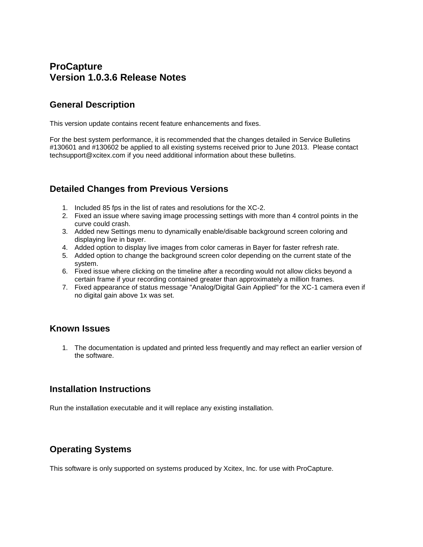# **ProCapture Version 1.0.3.6 Release Notes**

#### **General Description**

This version update contains recent feature enhancements and fixes.

For the best system performance, it is recommended that the changes detailed in Service Bulletins #130601 and #130602 be applied to all existing systems received prior to June 2013. Please contact techsupport@xcitex.com if you need additional information about these bulletins.

### **Detailed Changes from Previous Versions**

- 1. Included 85 fps in the list of rates and resolutions for the XC-2.
- 2. Fixed an issue where saving image processing settings with more than 4 control points in the curve could crash.
- 3. Added new Settings menu to dynamically enable/disable background screen coloring and displaying live in bayer.
- 4. Added option to display live images from color cameras in Bayer for faster refresh rate.
- 5. Added option to change the background screen color depending on the current state of the system.
- 6. Fixed issue where clicking on the timeline after a recording would not allow clicks beyond a certain frame if your recording contained greater than approximately a million frames.
- 7. Fixed appearance of status message "Analog/Digital Gain Applied" for the XC-1 camera even if no digital gain above 1x was set.

#### **Known Issues**

1. The documentation is updated and printed less frequently and may reflect an earlier version of the software.

#### **Installation Instructions**

Run the installation executable and it will replace any existing installation.

### **Operating Systems**

This software is only supported on systems produced by Xcitex, Inc. for use with ProCapture.